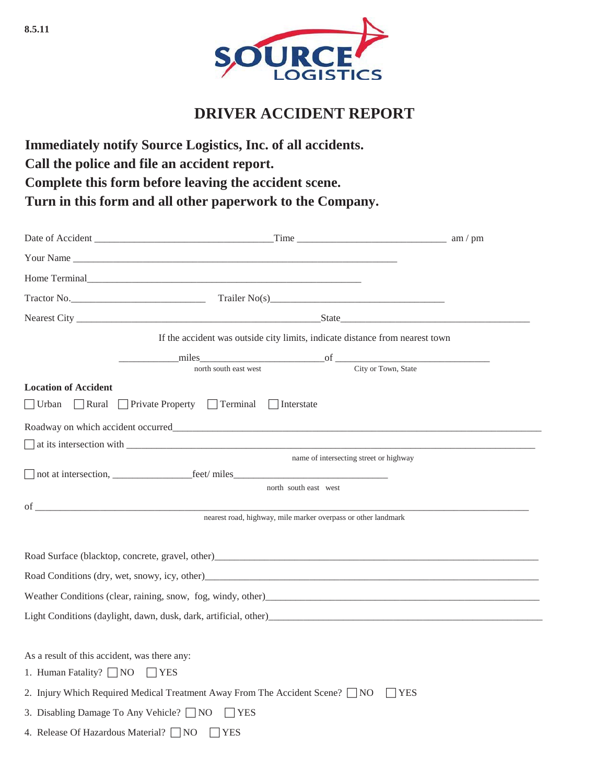

## **DRIVER ACCIDENT REPORT**

**Immediately notify Source Logistics, Inc. of all accidents. Call the police and file an accident report. Complete this form before leaving the accident scene. Turn in this form and all other paperwork to the Company.**

| Your Name of the state of the state of the state of the state of the state of the state of the state of the state of the state of the state of the state of the state of the state of the state of the state of the state of t      |  |                                                                              |  |  |  |
|-------------------------------------------------------------------------------------------------------------------------------------------------------------------------------------------------------------------------------------|--|------------------------------------------------------------------------------|--|--|--|
| Home Terminal <b>Example 2018</b> The Contract of the Contract of the Contract of the Contract of the Contract of the Contract of the Contract of the Contract of the Contract of the Contract of the Contract of the Contract of t |  |                                                                              |  |  |  |
|                                                                                                                                                                                                                                     |  |                                                                              |  |  |  |
|                                                                                                                                                                                                                                     |  |                                                                              |  |  |  |
|                                                                                                                                                                                                                                     |  | If the accident was outside city limits, indicate distance from nearest town |  |  |  |
|                                                                                                                                                                                                                                     |  |                                                                              |  |  |  |
|                                                                                                                                                                                                                                     |  |                                                                              |  |  |  |
| <b>Location of Accident</b>                                                                                                                                                                                                         |  |                                                                              |  |  |  |
| $\Box$ Urban $\Box$ Rural $\Box$ Private Property $\Box$ Terminal $\Box$ Interstate                                                                                                                                                 |  |                                                                              |  |  |  |
|                                                                                                                                                                                                                                     |  |                                                                              |  |  |  |
| $\Box$ at its intersection with $\Box$                                                                                                                                                                                              |  |                                                                              |  |  |  |
|                                                                                                                                                                                                                                     |  | name of intersecting street or highway                                       |  |  |  |
|                                                                                                                                                                                                                                     |  |                                                                              |  |  |  |
|                                                                                                                                                                                                                                     |  | north south east west                                                        |  |  |  |
| nearest road, highway, mile marker overpass or other landmark                                                                                                                                                                       |  |                                                                              |  |  |  |
|                                                                                                                                                                                                                                     |  |                                                                              |  |  |  |
|                                                                                                                                                                                                                                     |  | Road Surface (blacktop, concrete, gravel, other)                             |  |  |  |
|                                                                                                                                                                                                                                     |  |                                                                              |  |  |  |
| Weather Conditions (clear, raining, snow, fog, windy, other)                                                                                                                                                                        |  |                                                                              |  |  |  |
| Light Conditions (daylight, dawn, dusk, dark, artificial, other)<br>express the conditions of the conditions of the condition of the condition of the conditions of the condition                                                   |  |                                                                              |  |  |  |
|                                                                                                                                                                                                                                     |  |                                                                              |  |  |  |
| As a result of this accident, was there any:                                                                                                                                                                                        |  |                                                                              |  |  |  |
| 1. Human Fatality? NO YES                                                                                                                                                                                                           |  |                                                                              |  |  |  |
| 2. Injury Which Required Medical Treatment Away From The Accident Scene? $\Box$ NO<br>  YES                                                                                                                                         |  |                                                                              |  |  |  |
| 3. Disabling Damage To Any Vehicle? □ NO<br>$ $   YES                                                                                                                                                                               |  |                                                                              |  |  |  |
| 4. Release Of Hazardous Material? NO TYES                                                                                                                                                                                           |  |                                                                              |  |  |  |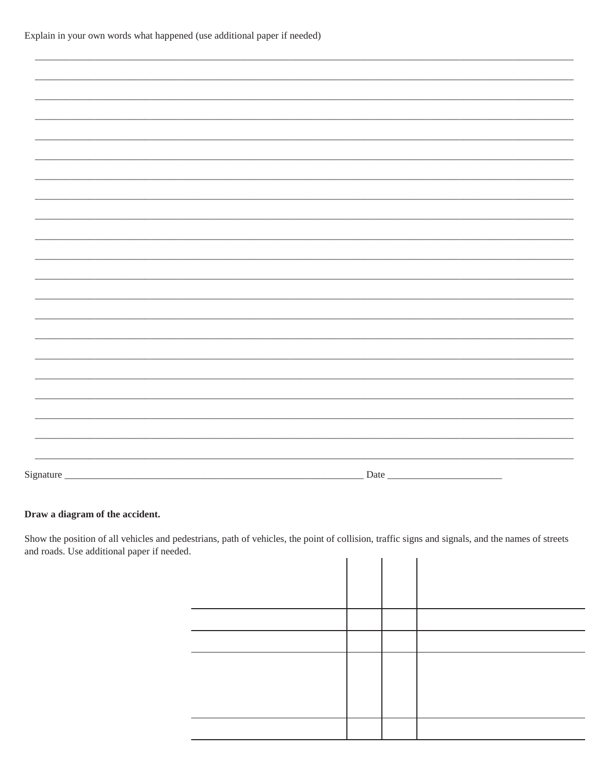| Signature_ |  |  | $Date$ <sub>_</sub> |  |
|------------|--|--|---------------------|--|
|            |  |  |                     |  |

## Draw a diagram of the accident.

Show the position of all vehicles and pedestrians, path of vehicles, the point of collision, traffic signs and signals, and the names of streets and roads. Use additional paper if needed.  $\mathbf{L}^{\text{max}}$  $\mathbf{L}^{\text{max}}$  $\mathbf{I}$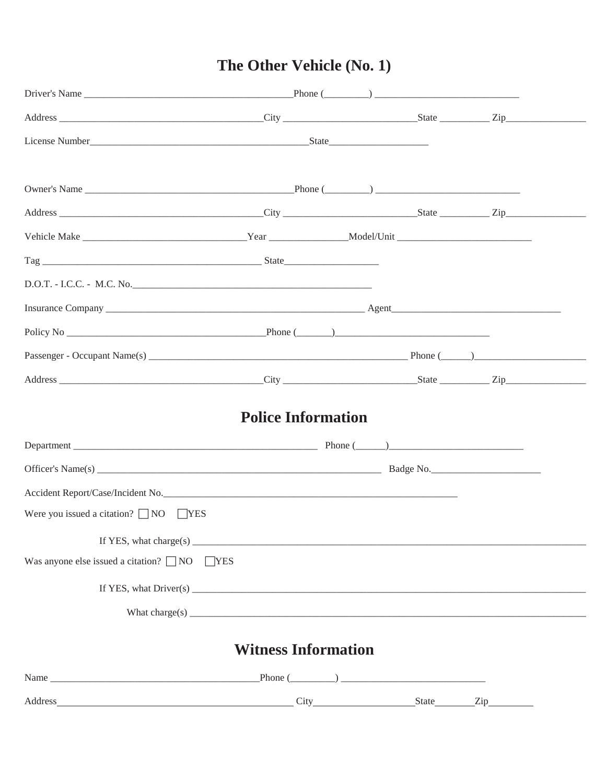## The Other Vehicle (No. 1)

|                                                                                                                                                                                                                                                                                                                                         | <b>Police Information</b>  |  |  |
|-----------------------------------------------------------------------------------------------------------------------------------------------------------------------------------------------------------------------------------------------------------------------------------------------------------------------------------------|----------------------------|--|--|
|                                                                                                                                                                                                                                                                                                                                         |                            |  |  |
|                                                                                                                                                                                                                                                                                                                                         |                            |  |  |
|                                                                                                                                                                                                                                                                                                                                         |                            |  |  |
| Accident Report/Case/Incident No.                                                                                                                                                                                                                                                                                                       |                            |  |  |
| Were you issued a citation? $\Box$ NO $\Box$ YES                                                                                                                                                                                                                                                                                        |                            |  |  |
|                                                                                                                                                                                                                                                                                                                                         |                            |  |  |
| Was anyone else issued a citation? $\Box$ NO $\Box$ YES                                                                                                                                                                                                                                                                                 |                            |  |  |
| If YES, what $\text{Direct}(s)$                                                                                                                                                                                                                                                                                                         |                            |  |  |
| What charge(s) $\qquad \qquad$ $\qquad$ $\qquad$ $\qquad$ $\qquad$ $\qquad$ $\qquad$ $\qquad$ $\qquad$ $\qquad$ $\qquad$ $\qquad$ $\qquad$ $\qquad$ $\qquad$ $\qquad$ $\qquad$ $\qquad$ $\qquad$ $\qquad$ $\qquad$ $\qquad$ $\qquad$ $\qquad$ $\qquad$ $\qquad$ $\qquad$ $\qquad$ $\qquad$ $\qquad$ $\qquad$ $\qquad$ $\qquad$ $\qquad$ |                            |  |  |
|                                                                                                                                                                                                                                                                                                                                         | <b>Witness Information</b> |  |  |
|                                                                                                                                                                                                                                                                                                                                         |                            |  |  |
|                                                                                                                                                                                                                                                                                                                                         |                            |  |  |